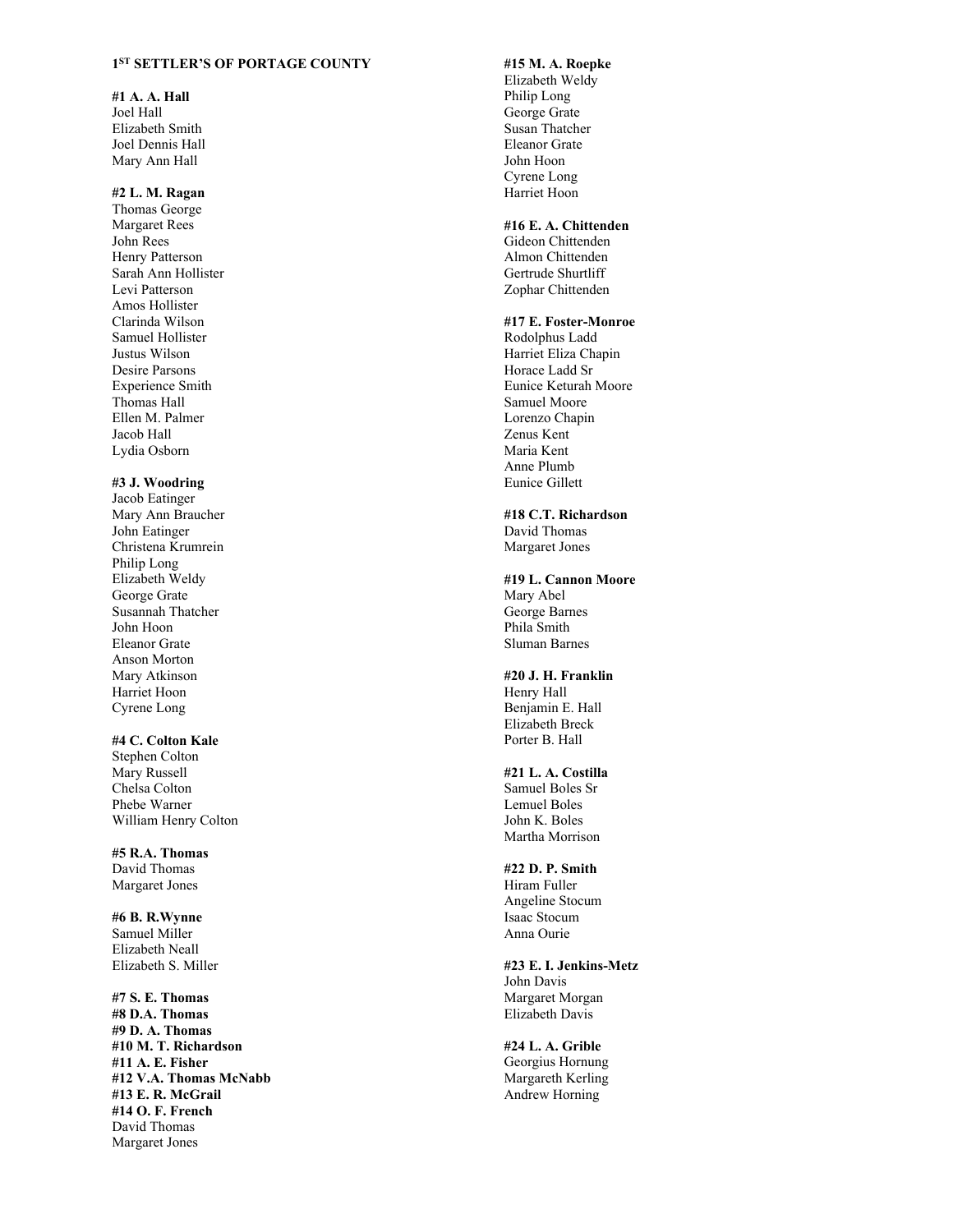### **1ST SETTLER'S OF PORTAGE COUNTY**

#### **#1 A. A. Hall**

Joel Hall Elizabeth Smith Joel Dennis Hall Mary Ann Hall

## **#2 L. M. Ragan**

Thomas George Margaret Rees John Rees Henry Patterson Sarah Ann Hollister Levi Patterson Amos Hollister Clarinda Wilson Samuel Hollister Justus Wilson Desire Parsons Experience Smith Thomas Hall Ellen M. Palmer Jacob Hall Lydia Osborn

#### **#3 J. Woodring**

Jacob Eatinger Mary Ann Braucher John Eatinger Christena Krumrein Philip Long Elizabeth Weldy George Grate Susannah Thatcher John Hoon Eleanor Grate Anson Morton Mary Atkinson Harriet Hoon Cyrene Long

# **#4 C. Colton Kale**

Stephen Colton Mary Russell Chelsa Colton Phebe Warner William Henry Colton

**#5 R.A. Thomas**  David Thomas Margaret Jones

**#6 B. R.Wynne**  Samuel Miller Elizabeth Neall Elizabeth S. Miller

**#7 S. E. Thomas #8 D.A. Thomas #9 D. A. Thomas #10 M. T. Richardson #11 A. E. Fisher #12 V.A. Thomas McNabb #13 E. R. McGrail #14 O. F. French**  David Thomas Margaret Jones

# **#15 M. A. Roepke**

Elizabeth Weldy Philip Long George Grate Susan Thatcher Eleanor Grate John Hoon Cyrene Long Harriet Hoon

#### **#16 E. A. Chittenden**

Gideon Chittenden Almon Chittenden Gertrude Shurtliff Zophar Chittenden

# **#17 E. Foster-Monroe**

Rodolphus Ladd Harriet Eliza Chapin Horace Ladd Sr Eunice Keturah Moore Samuel Moore Lorenzo Chapin Zenus Kent Maria Kent Anne Plumb Eunice Gillett

**#18 C.T. Richardson**  David Thomas Margaret Jones

**#19 L. Cannon Moore**  Mary Abel George Barnes Phila Smith Sluman Barnes

**#20 J. H. Franklin**  Henry Hall Benjamin E. Hall Elizabeth Breck Porter B. Hall

## **#21 L. A. Costilla**

Samuel Boles Sr Lemuel Boles John K. Boles Martha Morrison

## **#22 D. P. Smith**

Hiram Fuller Angeline Stocum Isaac Stocum Anna Ourie

**#23 E. I. Jenkins-Metz**  John Davis Margaret Morgan Elizabeth Davis

**#24 L. A. Grible**  Georgius Hornung Margareth Kerling Andrew Horning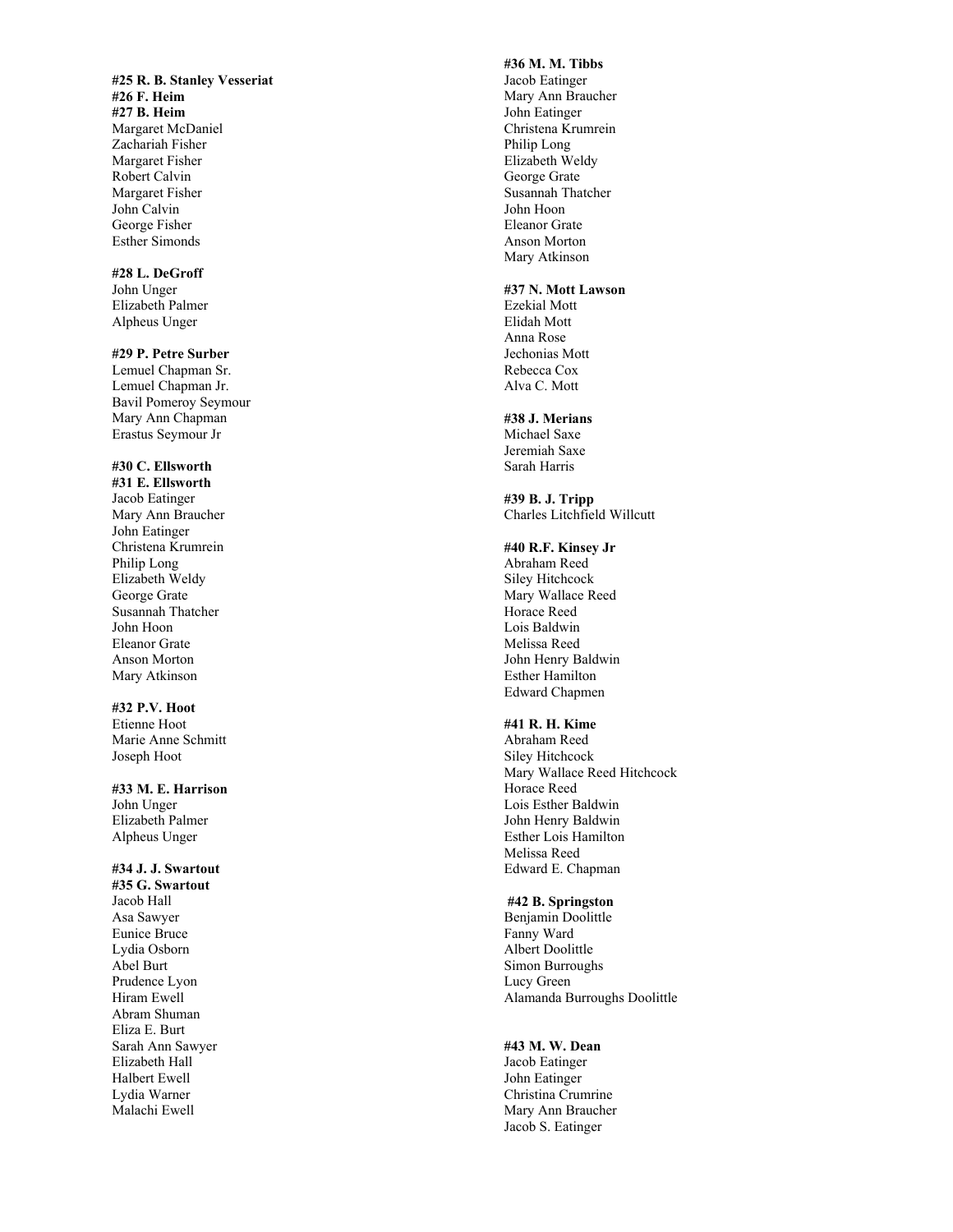**#25 R. B. Stanley Vesseriat #26 F. Heim #27 B. Heim**  Margaret McDaniel Zachariah Fisher Margaret Fisher Robert Calvin Margaret Fisher John Calvin George Fisher Esther Simonds

# **#28 L. DeGroff**

John Unger Elizabeth Palmer Alpheus Unger

#### **#29 P. Petre Surber**

Lemuel Chapman Sr. Lemuel Chapman Jr. Bavil Pomeroy Seymour Mary Ann Chapman Erastus Seymour Jr

#### **#30 C. Ellsworth**

**#31 E. Ellsworth**  Jacob Eatinger Mary Ann Braucher John Eatinger Christena Krumrein Philip Long Elizabeth Weldy George Grate Susannah Thatcher John Hoon Eleanor Grate Anson Morton Mary Atkinson

#### **#32 P.V. Hoot**

Etienne Hoot Marie Anne Schmitt Joseph Hoot

#### **#33 M. E. Harrison**

John Unger Elizabeth Palmer Alpheus Unger

# **#34 J. J. Swartout**

**#35 G. Swartout**  Jacob Hall Asa Sawyer Eunice Bruce Lydia Osborn Abel Burt Prudence Lyon Hiram Ewell Abram Shuman Eliza E. Burt Sarah Ann Sawyer Elizabeth Hall Halbert Ewell Lydia Warner Malachi Ewell

# **#36 M. M. Tibbs**

Jacob Eatinger Mary Ann Braucher John Eatinger Christena Krumrein Philip Long Elizabeth Weldy George Grate Susannah Thatcher John Hoon Eleanor Grate Anson Morton Mary Atkinson

#### **#37 N. Mott Lawson**

Ezekial Mott Elidah Mott Anna Rose Jechonias Mott Rebecca Cox Alva C. Mott

### **#38 J. Merians**

Michael Saxe Jeremiah Saxe Sarah Harris

**#39 B. J. Tripp**  Charles Litchfield Willcutt

# **#40 R.F. Kinsey Jr**

Abraham Reed Siley Hitchcock Mary Wallace Reed Horace Reed Lois Baldwin Melissa Reed John Henry Baldwin Esther Hamilton Edward Chapmen

# **#41 R. H. Kime**

Abraham Reed Siley Hitchcock Mary Wallace Reed Hitchcock Horace Reed Lois Esther Baldwin John Henry Baldwin Esther Lois Hamilton Melissa Reed Edward E. Chapman

# **#42 B. Springston**

Benjamin Doolittle Fanny Ward Albert Doolittle Simon Burroughs Lucy Green Alamanda Burroughs Doolittle

#### **#43 M. W. Dean**

Jacob Eatinger John Eatinger Christina Crumrine Mary Ann Braucher Jacob S. Eatinger